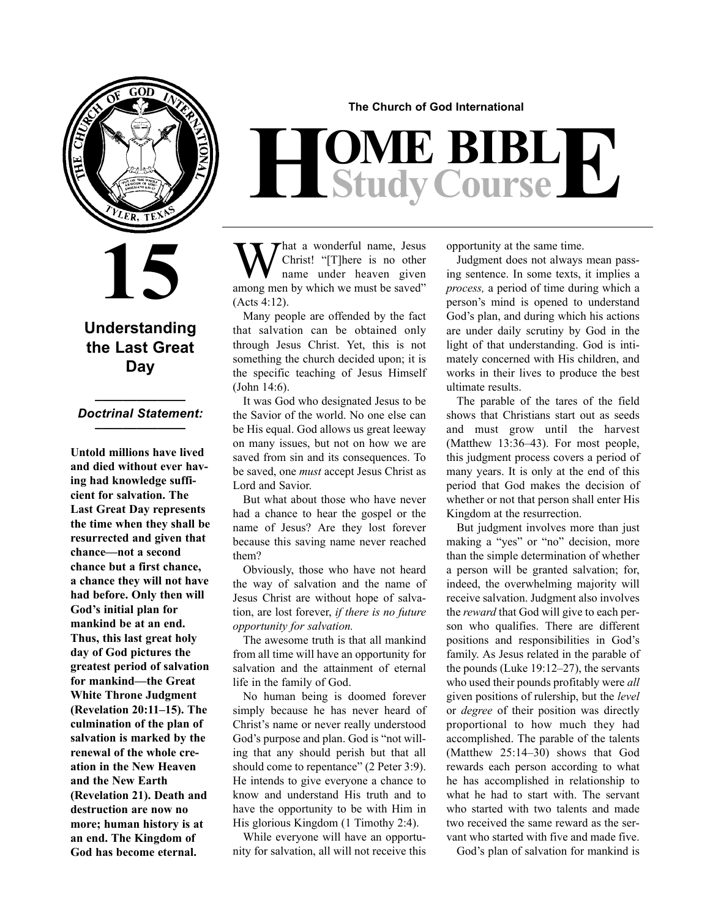

## **15**

### **Understanding the Last Great Day**

#### **\_\_\_\_\_\_\_\_\_\_\_\_\_** *Doctrinal Statement:* **\_\_\_\_\_\_\_\_\_\_\_\_\_**

**Untold millions have lived and died without ever having had knowledge sufficient for salvation. The Last Great Day represents the time when they shall be resurrected and given that chance—not a second chance but a first chance, a chance they will not have had before. Only then will God's initial plan for mankind be at an end. Thus, this last great holy day of God pictures the greatest period of salvation for mankind—the Great White Throne Judgment (Revelation 20:11–15). The culmination of the plan of salvation is marked by the renewal of the whole creation in the New Heaven and the New Earth (Revelation 21). Death and destruction are now no more; human history is at an end. The Kingdom of God has become eternal.**

**The Church of God International**

# $H$ **Study Course**

What a wonderful name, Jesus<br>
There is no other<br>
name under heaven given<br>
name by which we must be sound? Christ! "[T]here is no other name under heaven given among men by which we must be saved" (Acts 4:12).

Many people are offended by the fact that salvation can be obtained only through Jesus Christ. Yet, this is not something the church decided upon; it is the specific teaching of Jesus Himself (John 14:6).

It was God who designated Jesus to be the Savior of the world. No one else can be His equal. God allows us great leeway on many issues, but not on how we are saved from sin and its consequences. To be saved, one *must* accept Jesus Christ as Lord and Savior.

But what about those who have never had a chance to hear the gospel or the name of Jesus? Are they lost forever because this saving name never reached them?

Obviously, those who have not heard the way of salvation and the name of Jesus Christ are without hope of salvation, are lost forever, *if there is no future opportunity for salvation.*

The awesome truth is that all mankind from all time will have an opportunity for salvation and the attainment of eternal life in the family of God.

No human being is doomed forever simply because he has never heard of Christ's name or never really understood God's purpose and plan. God is "not willing that any should perish but that all should come to repentance" (2 Peter 3:9). He intends to give everyone a chance to know and understand His truth and to have the opportunity to be with Him in His glorious Kingdom (1 Timothy 2:4).

While everyone will have an opportunity for salvation, all will not receive this opportunity at the same time.

Judgment does not always mean passing sentence. In some texts, it implies a *process,* a period of time during which a person's mind is opened to understand God's plan, and during which his actions are under daily scrutiny by God in the light of that understanding. God is intimately concerned with His children, and works in their lives to produce the best ultimate results.

The parable of the tares of the field shows that Christians start out as seeds and must grow until the harvest (Matthew 13:36–43). For most people, this judgment process covers a period of many years. It is only at the end of this period that God makes the decision of whether or not that person shall enter His Kingdom at the resurrection.

But judgment involves more than just making a "yes" or "no" decision, more than the simple determination of whether a person will be granted salvation; for, indeed, the overwhelming majority will receive salvation. Judgment also involves the *reward* that God will give to each person who qualifies. There are different positions and responsibilities in God's family. As Jesus related in the parable of the pounds (Luke 19:12–27), the servants who used their pounds profitably were *all* given positions of rulership, but the *level* or *degree* of their position was directly proportional to how much they had accomplished. The parable of the talents (Matthew 25:14–30) shows that God rewards each person according to what he has accomplished in relationship to what he had to start with. The servant who started with two talents and made two received the same reward as the servant who started with five and made five.

God's plan of salvation for mankind is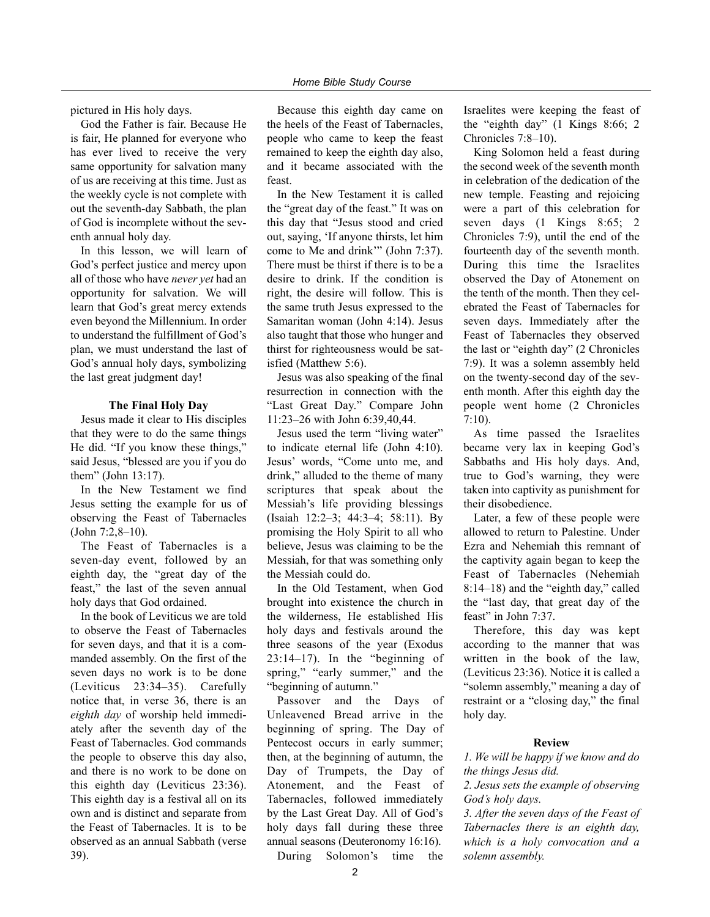pictured in His holy days.

God the Father is fair. Because He is fair, He planned for everyone who has ever lived to receive the very same opportunity for salvation many of us are receiving at this time. Just as the weekly cycle is not complete with out the seventh-day Sabbath, the plan of God is incomplete without the seventh annual holy day.

In this lesson, we will learn of God's perfect justice and mercy upon all of those who have *never yet* had an opportunity for salvation. We will learn that God's great mercy extends even beyond the Millennium. In order to understand the fulfillment of God's plan, we must understand the last of God's annual holy days, symbolizing the last great judgment day!

#### **The Final Holy Day**

Jesus made it clear to His disciples that they were to do the same things He did. "If you know these things," said Jesus, "blessed are you if you do them" (John 13:17).

In the New Testament we find Jesus setting the example for us of observing the Feast of Tabernacles (John 7:2,8–10).

The Feast of Tabernacles is a seven-day event, followed by an eighth day, the "great day of the feast," the last of the seven annual holy days that God ordained.

In the book of Leviticus we are told to observe the Feast of Tabernacles for seven days, and that it is a commanded assembly. On the first of the seven days no work is to be done (Leviticus 23:34–35). Carefully notice that, in verse 36, there is an *eighth day* of worship held immediately after the seventh day of the Feast of Tabernacles. God commands the people to observe this day also, and there is no work to be done on this eighth day (Leviticus 23:36). This eighth day is a festival all on its own and is distinct and separate from the Feast of Tabernacles. It is to be observed as an annual Sabbath (verse 39).

Because this eighth day came on the heels of the Feast of Tabernacles, people who came to keep the feast remained to keep the eighth day also, and it became associated with the feast.

In the New Testament it is called the "great day of the feast." It was on this day that "Jesus stood and cried out, saying, 'If anyone thirsts, let him come to Me and drink'" (John 7:37). There must be thirst if there is to be a desire to drink. If the condition is right, the desire will follow. This is the same truth Jesus expressed to the Samaritan woman (John 4:14). Jesus also taught that those who hunger and thirst for righteousness would be satisfied (Matthew 5:6).

Jesus was also speaking of the final resurrection in connection with the "Last Great Day." Compare John 11:23–26 with John 6:39,40,44.

Jesus used the term "living water" to indicate eternal life (John 4:10). Jesus' words, "Come unto me, and drink," alluded to the theme of many scriptures that speak about the Messiah's life providing blessings (Isaiah 12:2–3; 44:3–4; 58:11). By promising the Holy Spirit to all who believe, Jesus was claiming to be the Messiah, for that was something only the Messiah could do.

In the Old Testament, when God brought into existence the church in the wilderness, He established His holy days and festivals around the three seasons of the year (Exodus  $23:14-17$ ). In the "beginning of spring," "early summer," and the "beginning of autumn."

Passover and the Days of Unleavened Bread arrive in the beginning of spring. The Day of Pentecost occurs in early summer; then, at the beginning of autumn, the Day of Trumpets, the Day of Atonement, and the Feast of Tabernacles, followed immediately by the Last Great Day. All of God's holy days fall during these three annual seasons (Deuteronomy 16:16).

During Solomon's time the

Israelites were keeping the feast of the "eighth day" (1 Kings 8:66; 2 Chronicles 7:8–10).

King Solomon held a feast during the second week of the seventh month in celebration of the dedication of the new temple. Feasting and rejoicing were a part of this celebration for seven days (1 Kings 8:65; 2 Chronicles 7:9), until the end of the fourteenth day of the seventh month. During this time the Israelites observed the Day of Atonement on the tenth of the month. Then they celebrated the Feast of Tabernacles for seven days. Immediately after the Feast of Tabernacles they observed the last or "eighth day" (2 Chronicles 7:9). It was a solemn assembly held on the twenty-second day of the seventh month. After this eighth day the people went home (2 Chronicles 7:10).

As time passed the Israelites became very lax in keeping God's Sabbaths and His holy days. And, true to God's warning, they were taken into captivity as punishment for their disobedience.

Later, a few of these people were allowed to return to Palestine. Under Ezra and Nehemiah this remnant of the captivity again began to keep the Feast of Tabernacles (Nehemiah 8:14–18) and the "eighth day," called the "last day, that great day of the feast" in John 7:37.

Therefore, this day was kept according to the manner that was written in the book of the law, (Leviticus 23:36). Notice it is called a "solemn assembly," meaning a day of restraint or a "closing day," the final holy day.

#### **Review**

*1. We will be happy if we know and do the things Jesus did.*

*2. Jesus sets the example of observing God's holy days.*

*3. After the seven days of the Feast of Tabernacles there is an eighth day, which is a holy convocation and a solemn assembly.*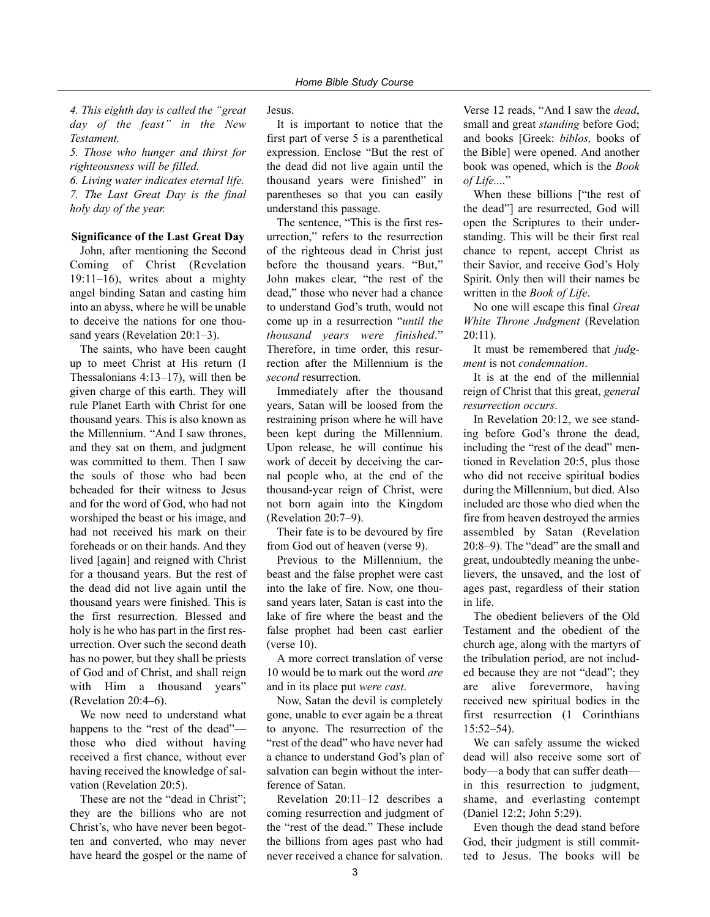*4. This eighth day is called the "great day of the feast" in the New Testament.*

*5. Those who hunger and thirst for righteousness will be filled.*

*6. Living water indicates eternal life. 7. The Last Great Day is the final holy day of the year.*

#### **Significance of the Last Great Day**

John, after mentioning the Second Coming of Christ (Revelation 19:11–16), writes about a mighty angel binding Satan and casting him into an abyss, where he will be unable to deceive the nations for one thousand years (Revelation 20:1–3).

The saints, who have been caught up to meet Christ at His return (I Thessalonians 4:13–17), will then be given charge of this earth. They will rule Planet Earth with Christ for one thousand years. This is also known as the Millennium. "And I saw thrones, and they sat on them, and judgment was committed to them. Then I saw the souls of those who had been beheaded for their witness to Jesus and for the word of God, who had not worshiped the beast or his image, and had not received his mark on their foreheads or on their hands. And they lived [again] and reigned with Christ for a thousand years. But the rest of the dead did not live again until the thousand years were finished. This is the first resurrection. Blessed and holy is he who has part in the first resurrection. Over such the second death has no power, but they shall be priests of God and of Christ, and shall reign with Him a thousand years" (Revelation 20:4–6).

We now need to understand what happens to the "rest of the dead" those who died without having received a first chance, without ever having received the knowledge of salvation (Revelation 20:5).

These are not the "dead in Christ"; they are the billions who are not Christ's, who have never been begotten and converted, who may never have heard the gospel or the name of Jesus.

It is important to notice that the first part of verse 5 is a parenthetical expression. Enclose "But the rest of the dead did not live again until the thousand years were finished" in parentheses so that you can easily understand this passage.

The sentence, "This is the first resurrection," refers to the resurrection of the righteous dead in Christ just before the thousand years. "But," John makes clear, "the rest of the dead," those who never had a chance to understand God's truth, would not come up in a resurrection "*until the thousand years were finished*." Therefore, in time order, this resurrection after the Millennium is the *second* resurrection.

Immediately after the thousand years, Satan will be loosed from the restraining prison where he will have been kept during the Millennium. Upon release, he will continue his work of deceit by deceiving the carnal people who, at the end of the thousand-year reign of Christ, were not born again into the Kingdom (Revelation 20:7–9).

Their fate is to be devoured by fire from God out of heaven (verse 9).

Previous to the Millennium, the beast and the false prophet were cast into the lake of fire. Now, one thousand years later, Satan is cast into the lake of fire where the beast and the false prophet had been cast earlier (verse 10).

A more correct translation of verse 10 would be to mark out the word *are* and in its place put *were cast*.

Now, Satan the devil is completely gone, unable to ever again be a threat to anyone. The resurrection of the "rest of the dead" who have never had a chance to understand God's plan of salvation can begin without the interference of Satan.

Revelation 20:11–12 describes a coming resurrection and judgment of the "rest of the dead." These include the billions from ages past who had never received a chance for salvation.

Verse 12 reads, "And I saw the *dead*, small and great *standing* before God; and books [Greek: *biblos,* books of the Bible] were opened. And another book was opened, which is the *Book of Life....*"

When these billions ["the rest of the dead"] are resurrected, God will open the Scriptures to their understanding. This will be their first real chance to repent, accept Christ as their Savior, and receive God's Holy Spirit. Only then will their names be written in the *Book of Life*.

No one will escape this final *Great White Throne Judgment* (Revelation 20:11).

It must be remembered that *judgment* is not *condemnation*.

It is at the end of the millennial reign of Christ that this great, *general resurrection occurs*.

In Revelation 20:12, we see standing before God's throne the dead, including the "rest of the dead" mentioned in Revelation 20:5, plus those who did not receive spiritual bodies during the Millennium, but died. Also included are those who died when the fire from heaven destroyed the armies assembled by Satan (Revelation 20:8–9). The "dead" are the small and great, undoubtedly meaning the unbelievers, the unsaved, and the lost of ages past, regardless of their station in life.

The obedient believers of the Old Testament and the obedient of the church age, along with the martyrs of the tribulation period, are not included because they are not "dead"; they are alive forevermore, having received new spiritual bodies in the first resurrection (1 Corinthians 15:52–54).

We can safely assume the wicked dead will also receive some sort of body—a body that can suffer death in this resurrection to judgment, shame, and everlasting contempt (Daniel 12:2; John 5:29).

Even though the dead stand before God, their judgment is still committed to Jesus. The books will be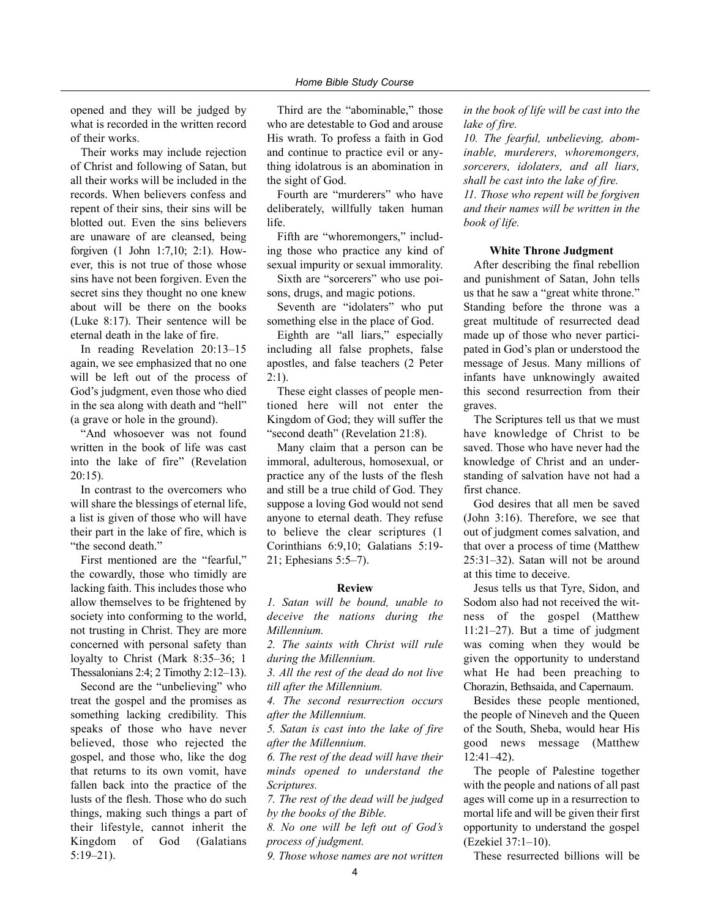opened and they will be judged by what is recorded in the written record of their works.

Their works may include rejection of Christ and following of Satan, but all their works will be included in the records. When believers confess and repent of their sins, their sins will be blotted out. Even the sins believers are unaware of are cleansed, being forgiven (1 John 1:7,10; 2:1). However, this is not true of those whose sins have not been forgiven. Even the secret sins they thought no one knew about will be there on the books (Luke 8:17). Their sentence will be eternal death in the lake of fire.

In reading Revelation 20:13–15 again, we see emphasized that no one will be left out of the process of God's judgment, even those who died in the sea along with death and "hell" (a grave or hole in the ground).

"And whosoever was not found written in the book of life was cast into the lake of fire" (Revelation 20:15).

In contrast to the overcomers who will share the blessings of eternal life, a list is given of those who will have their part in the lake of fire, which is "the second death."

First mentioned are the "fearful," the cowardly, those who timidly are lacking faith. This includes those who allow themselves to be frightened by society into conforming to the world, not trusting in Christ. They are more concerned with personal safety than loyalty to Christ (Mark 8:35–36; 1 Thessalonians 2:4; 2 Timothy 2:12–13).

Second are the "unbelieving" who treat the gospel and the promises as something lacking credibility. This speaks of those who have never believed, those who rejected the gospel, and those who, like the dog that returns to its own vomit, have fallen back into the practice of the lusts of the flesh. Those who do such things, making such things a part of their lifestyle, cannot inherit the Kingdom of God (Galatians 5:19–21).

Third are the "abominable," those who are detestable to God and arouse His wrath. To profess a faith in God and continue to practice evil or anything idolatrous is an abomination in the sight of God.

Fourth are "murderers" who have deliberately, willfully taken human life.

Fifth are "whoremongers," including those who practice any kind of sexual impurity or sexual immorality.

Sixth are "sorcerers" who use poisons, drugs, and magic potions.

Seventh are "idolaters" who put something else in the place of God.

Eighth are "all liars," especially including all false prophets, false apostles, and false teachers (2 Peter  $2:1$ ).

These eight classes of people mentioned here will not enter the Kingdom of God; they will suffer the "second death" (Revelation 21:8).

Many claim that a person can be immoral, adulterous, homosexual, or practice any of the lusts of the flesh and still be a true child of God. They suppose a loving God would not send anyone to eternal death. They refuse to believe the clear scriptures (1 Corinthians 6:9,10; Galatians 5:19- 21; Ephesians 5:5–7).

#### **Review**

*1. Satan will be bound, unable to deceive the nations during the Millennium.*

*2. The saints with Christ will rule during the Millennium.*

*3. All the rest of the dead do not live till after the Millennium.*

*4. The second resurrection occurs after the Millennium.*

*5. Satan is cast into the lake of fire after the Millennium.*

*6. The rest of the dead will have their minds opened to understand the Scriptures.*

*7. The rest of the dead will be judged by the books of the Bible.*

*8. No one will be left out of God's process of judgment.*

*9. Those whose names are not written*

*in the book of life will be cast into the lake of fire.*

*10. The fearful, unbelieving, abominable, murderers, whoremongers, sorcerers, idolaters, and all liars, shall be cast into the lake of fire. 11. Those who repent will be forgiven and their names will be written in the book of life.*

#### **White Throne Judgment**

After describing the final rebellion and punishment of Satan, John tells us that he saw a "great white throne." Standing before the throne was a great multitude of resurrected dead made up of those who never participated in God's plan or understood the message of Jesus. Many millions of infants have unknowingly awaited this second resurrection from their graves.

The Scriptures tell us that we must have knowledge of Christ to be saved. Those who have never had the knowledge of Christ and an understanding of salvation have not had a first chance.

God desires that all men be saved (John 3:16). Therefore, we see that out of judgment comes salvation, and that over a process of time (Matthew 25:31–32). Satan will not be around at this time to deceive.

Jesus tells us that Tyre, Sidon, and Sodom also had not received the witness of the gospel (Matthew 11:21–27). But a time of judgment was coming when they would be given the opportunity to understand what He had been preaching to Chorazin, Bethsaida, and Capernaum.

Besides these people mentioned, the people of Nineveh and the Queen of the South, Sheba, would hear His good news message (Matthew 12:41–42).

The people of Palestine together with the people and nations of all past ages will come up in a resurrection to mortal life and will be given their first opportunity to understand the gospel (Ezekiel 37:1–10).

These resurrected billions will be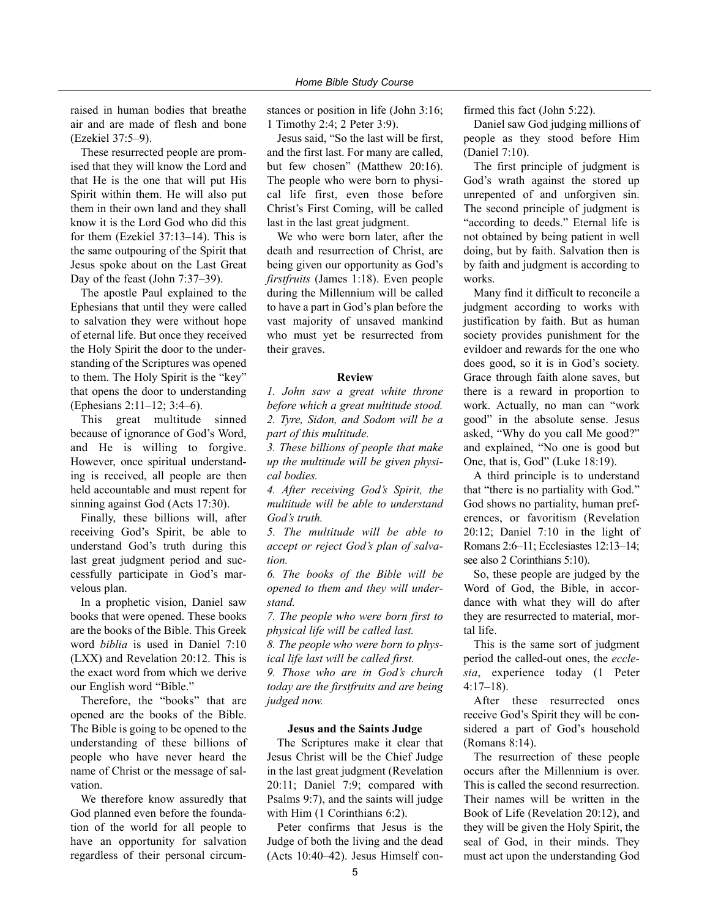raised in human bodies that breathe air and are made of flesh and bone (Ezekiel 37:5–9).

These resurrected people are promised that they will know the Lord and that He is the one that will put His Spirit within them. He will also put them in their own land and they shall know it is the Lord God who did this for them (Ezekiel 37:13–14). This is the same outpouring of the Spirit that Jesus spoke about on the Last Great Day of the feast (John 7:37–39).

The apostle Paul explained to the Ephesians that until they were called to salvation they were without hope of eternal life. But once they received the Holy Spirit the door to the understanding of the Scriptures was opened to them. The Holy Spirit is the "key" that opens the door to understanding (Ephesians 2:11–12; 3:4–6).

This great multitude sinned because of ignorance of God's Word, and He is willing to forgive. However, once spiritual understanding is received, all people are then held accountable and must repent for sinning against God (Acts 17:30).

Finally, these billions will, after receiving God's Spirit, be able to understand God's truth during this last great judgment period and successfully participate in God's marvelous plan.

In a prophetic vision, Daniel saw books that were opened. These books are the books of the Bible. This Greek word *biblia* is used in Daniel 7:10 (LXX) and Revelation 20:12. This is the exact word from which we derive our English word "Bible."

Therefore, the "books" that are opened are the books of the Bible. The Bible is going to be opened to the understanding of these billions of people who have never heard the name of Christ or the message of salvation.

We therefore know assuredly that God planned even before the foundation of the world for all people to have an opportunity for salvation regardless of their personal circumstances or position in life (John 3:16; 1 Timothy 2:4; 2 Peter 3:9).

Jesus said, "So the last will be first, and the first last. For many are called, but few chosen" (Matthew 20:16). The people who were born to physical life first, even those before Christ's First Coming, will be called last in the last great judgment.

We who were born later, after the death and resurrection of Christ, are being given our opportunity as God's *firstfruits* (James 1:18). Even people during the Millennium will be called to have a part in God's plan before the vast majority of unsaved mankind who must yet be resurrected from their graves.

#### **Review**

*1. John saw a great white throne before which a great multitude stood. 2. Tyre, Sidon, and Sodom will be a part of this multitude.*

*3. These billions of people that make up the multitude will be given physical bodies.*

*4. After receiving God's Spirit, the multitude will be able to understand God's truth.*

*5. The multitude will be able to accept or reject God's plan of salvation.*

*6. The books of the Bible will be opened to them and they will understand.*

*7. The people who were born first to physical life will be called last.*

*8. The people who were born to physical life last will be called first.*

*9. Those who are in God's church today are the firstfruits and are being judged now.*

#### **Jesus and the Saints Judge**

The Scriptures make it clear that Jesus Christ will be the Chief Judge in the last great judgment (Revelation 20:11; Daniel 7:9; compared with Psalms 9:7), and the saints will judge with Him (1 Corinthians 6:2).

Peter confirms that Jesus is the Judge of both the living and the dead (Acts 10:40–42). Jesus Himself confirmed this fact (John 5:22).

Daniel saw God judging millions of people as they stood before Him (Daniel 7:10).

The first principle of judgment is God's wrath against the stored up unrepented of and unforgiven sin. The second principle of judgment is "according to deeds." Eternal life is not obtained by being patient in well doing, but by faith. Salvation then is by faith and judgment is according to works.

Many find it difficult to reconcile a judgment according to works with justification by faith. But as human society provides punishment for the evildoer and rewards for the one who does good, so it is in God's society. Grace through faith alone saves, but there is a reward in proportion to work. Actually, no man can "work good" in the absolute sense. Jesus asked, "Why do you call Me good?" and explained, "No one is good but One, that is, God" (Luke 18:19).

A third principle is to understand that "there is no partiality with God." God shows no partiality, human preferences, or favoritism (Revelation 20:12; Daniel 7:10 in the light of Romans 2:6–11; Ecclesiastes 12:13–14; see also 2 Corinthians 5:10).

So, these people are judged by the Word of God, the Bible, in accordance with what they will do after they are resurrected to material, mortal life.

This is the same sort of judgment period the called-out ones, the *ecclesia*, experience today (1 Peter 4:17–18).

After these resurrected ones receive God's Spirit they will be considered a part of God's household (Romans 8:14).

The resurrection of these people occurs after the Millennium is over. This is called the second resurrection. Their names will be written in the Book of Life (Revelation 20:12), and they will be given the Holy Spirit, the seal of God, in their minds. They must act upon the understanding God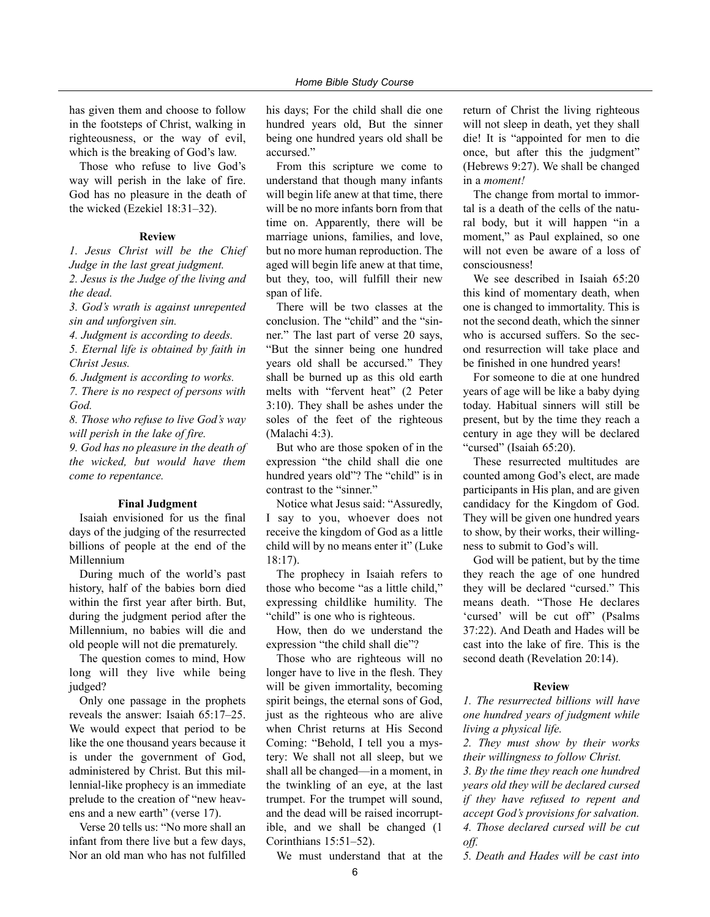has given them and choose to follow in the footsteps of Christ, walking in righteousness, or the way of evil, which is the breaking of God's law.

Those who refuse to live God's way will perish in the lake of fire. God has no pleasure in the death of the wicked (Ezekiel 18:31–32).

#### **Review**

*1. Jesus Christ will be the Chief Judge in the last great judgment. 2. Jesus is the Judge of the living and the dead.*

*3. God's wrath is against unrepented sin and unforgiven sin.*

*4. Judgment is according to deeds.*

*5. Eternal life is obtained by faith in Christ Jesus.*

*6. Judgment is according to works.*

*7. There is no respect of persons with God.*

*8. Those who refuse to live God's way will perish in the lake of fire.*

*9. God has no pleasure in the death of the wicked, but would have them come to repentance.*

#### **Final Judgment**

Isaiah envisioned for us the final days of the judging of the resurrected billions of people at the end of the Millennium

During much of the world's past history, half of the babies born died within the first year after birth. But, during the judgment period after the Millennium, no babies will die and old people will not die prematurely.

The question comes to mind, How long will they live while being judged?

Only one passage in the prophets reveals the answer: Isaiah 65:17–25. We would expect that period to be like the one thousand years because it is under the government of God, administered by Christ. But this millennial-like prophecy is an immediate prelude to the creation of "new heavens and a new earth" (verse 17).

Verse 20 tells us: "No more shall an infant from there live but a few days, Nor an old man who has not fulfilled

his days; For the child shall die one hundred years old, But the sinner being one hundred years old shall be accursed."

From this scripture we come to understand that though many infants will begin life anew at that time, there will be no more infants born from that time on. Apparently, there will be marriage unions, families, and love, but no more human reproduction. The aged will begin life anew at that time, but they, too, will fulfill their new span of life.

There will be two classes at the conclusion. The "child" and the "sinner." The last part of verse 20 says, "But the sinner being one hundred years old shall be accursed." They shall be burned up as this old earth melts with "fervent heat" (2 Peter 3:10). They shall be ashes under the soles of the feet of the righteous (Malachi 4:3).

But who are those spoken of in the expression "the child shall die one hundred years old"? The "child" is in contrast to the "sinner."

Notice what Jesus said: "Assuredly, I say to you, whoever does not receive the kingdom of God as a little child will by no means enter it" (Luke 18:17).

The prophecy in Isaiah refers to those who become "as a little child," expressing childlike humility. The "child" is one who is righteous.

How, then do we understand the expression "the child shall die"?

Those who are righteous will no longer have to live in the flesh. They will be given immortality, becoming spirit beings, the eternal sons of God, just as the righteous who are alive when Christ returns at His Second Coming: "Behold, I tell you a mystery: We shall not all sleep, but we shall all be changed—in a moment, in the twinkling of an eye, at the last trumpet. For the trumpet will sound, and the dead will be raised incorruptible, and we shall be changed (1 Corinthians 15:51–52).

We must understand that at the

return of Christ the living righteous will not sleep in death, yet they shall die! It is "appointed for men to die once, but after this the judgment" (Hebrews 9:27). We shall be changed in a *moment!*

The change from mortal to immortal is a death of the cells of the natural body, but it will happen "in a moment," as Paul explained, so one will not even be aware of a loss of consciousness!

We see described in Isaiah 65:20 this kind of momentary death, when one is changed to immortality. This is not the second death, which the sinner who is accursed suffers. So the second resurrection will take place and be finished in one hundred years!

For someone to die at one hundred years of age will be like a baby dying today. Habitual sinners will still be present, but by the time they reach a century in age they will be declared "cursed" (Isaiah 65:20).

These resurrected multitudes are counted among God's elect, are made participants in His plan, and are given candidacy for the Kingdom of God. They will be given one hundred years to show, by their works, their willingness to submit to God's will.

God will be patient, but by the time they reach the age of one hundred they will be declared "cursed." This means death. "Those He declares 'cursed' will be cut off" (Psalms 37:22). And Death and Hades will be cast into the lake of fire. This is the second death (Revelation 20:14).

#### **Review**

*1. The resurrected billions will have one hundred years of judgment while living a physical life.*

*2. They must show by their works their willingness to follow Christ.*

*3. By the time they reach one hundred years old they will be declared cursed if they have refused to repent and accept God's provisions for salvation. 4. Those declared cursed will be cut off.*

*5. Death and Hades will be cast into*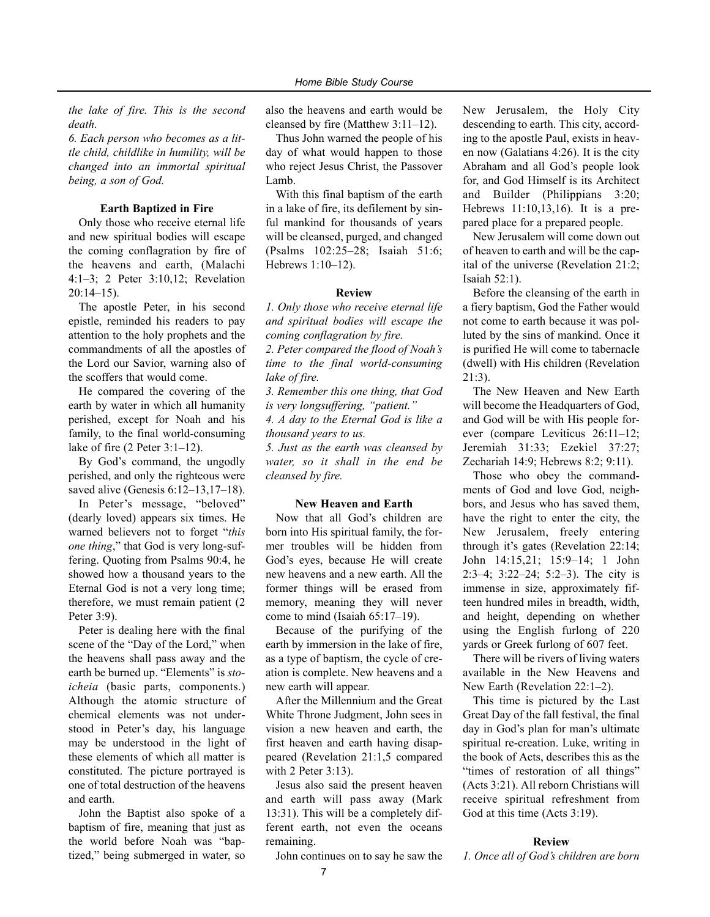*the lake of fire. This is the second death.*

*6. Each person who becomes as a little child, childlike in humility, will be changed into an immortal spiritual being, a son of God.*

#### **Earth Baptized in Fire**

Only those who receive eternal life and new spiritual bodies will escape the coming conflagration by fire of the heavens and earth, (Malachi 4:1–3; 2 Peter 3:10,12; Revelation 20:14–15).

The apostle Peter, in his second epistle, reminded his readers to pay attention to the holy prophets and the commandments of all the apostles of the Lord our Savior, warning also of the scoffers that would come.

He compared the covering of the earth by water in which all humanity perished, except for Noah and his family, to the final world-consuming lake of fire (2 Peter 3:1–12).

By God's command, the ungodly perished, and only the righteous were saved alive (Genesis 6:12–13,17–18).

In Peter's message, "beloved" (dearly loved) appears six times. He warned believers not to forget "*this one thing*," that God is very long-suffering. Quoting from Psalms 90:4, he showed how a thousand years to the Eternal God is not a very long time; therefore, we must remain patient (2 Peter 3:9).

Peter is dealing here with the final scene of the "Day of the Lord," when the heavens shall pass away and the earth be burned up. "Elements" is *stoicheia* (basic parts, components.) Although the atomic structure of chemical elements was not understood in Peter's day, his language may be understood in the light of these elements of which all matter is constituted. The picture portrayed is one of total destruction of the heavens and earth.

John the Baptist also spoke of a baptism of fire, meaning that just as the world before Noah was "baptized," being submerged in water, so

also the heavens and earth would be cleansed by fire (Matthew 3:11–12).

Thus John warned the people of his day of what would happen to those who reject Jesus Christ, the Passover Lamb.

With this final baptism of the earth in a lake of fire, its defilement by sinful mankind for thousands of years will be cleansed, purged, and changed (Psalms 102:25–28; Isaiah 51:6; Hebrews 1:10–12).

#### **Review**

*1. Only those who receive eternal life and spiritual bodies will escape the coming conflagration by fire.*

*2. Peter compared the flood of Noah's time to the final world-consuming lake of fire.*

*3. Remember this one thing, that God is very longsuffering, "patient." 4. A day to the Eternal God is like a thousand years to us.*

*5. Just as the earth was cleansed by water, so it shall in the end be cleansed by fire.*

#### **New Heaven and Earth**

Now that all God's children are born into His spiritual family, the former troubles will be hidden from God's eyes, because He will create new heavens and a new earth. All the former things will be erased from memory, meaning they will never come to mind (Isaiah 65:17–19).

Because of the purifying of the earth by immersion in the lake of fire, as a type of baptism, the cycle of creation is complete. New heavens and a new earth will appear.

After the Millennium and the Great White Throne Judgment, John sees in vision a new heaven and earth, the first heaven and earth having disappeared (Revelation 21:1,5 compared with 2 Peter 3:13).

Jesus also said the present heaven and earth will pass away (Mark 13:31). This will be a completely different earth, not even the oceans remaining.

John continues on to say he saw the

New Jerusalem, the Holy City descending to earth. This city, according to the apostle Paul, exists in heaven now (Galatians 4:26). It is the city Abraham and all God's people look for, and God Himself is its Architect and Builder (Philippians 3:20; Hebrews 11:10,13,16). It is a prepared place for a prepared people.

New Jerusalem will come down out of heaven to earth and will be the capital of the universe (Revelation 21:2; Isaiah 52:1).

Before the cleansing of the earth in a fiery baptism, God the Father would not come to earth because it was polluted by the sins of mankind. Once it is purified He will come to tabernacle (dwell) with His children (Revelation 21:3).

The New Heaven and New Earth will become the Headquarters of God, and God will be with His people forever (compare Leviticus 26:11–12; Jeremiah 31:33; Ezekiel 37:27; Zechariah 14:9; Hebrews 8:2; 9:11).

Those who obey the commandments of God and love God, neighbors, and Jesus who has saved them, have the right to enter the city, the New Jerusalem, freely entering through it's gates (Revelation 22:14; John 14:15,21; 15:9–14; 1 John 2:3–4; 3:22–24; 5:2–3). The city is immense in size, approximately fifteen hundred miles in breadth, width, and height, depending on whether using the English furlong of 220 yards or Greek furlong of 607 feet.

There will be rivers of living waters available in the New Heavens and New Earth (Revelation 22:1–2).

This time is pictured by the Last Great Day of the fall festival, the final day in God's plan for man's ultimate spiritual re-creation. Luke, writing in the book of Acts, describes this as the "times of restoration of all things" (Acts 3:21). All reborn Christians will receive spiritual refreshment from God at this time (Acts 3:19).

#### **Review**

*1. Once all of God's children are born*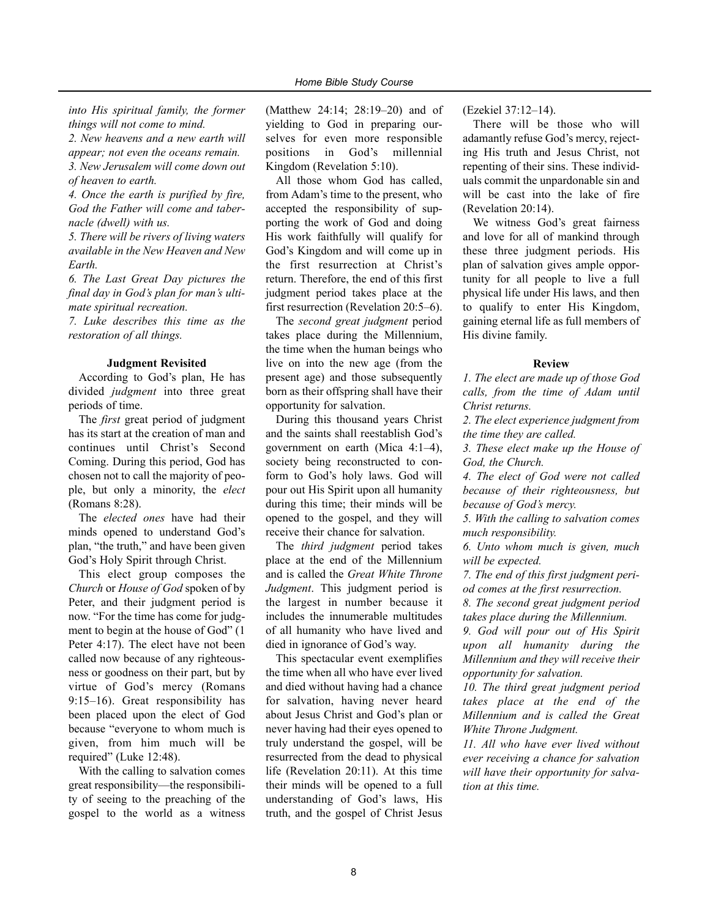*into His spiritual family, the former things will not come to mind.*

*2. New heavens and a new earth will appear; not even the oceans remain. 3. New Jerusalem will come down out of heaven to earth.*

*4. Once the earth is purified by fire, God the Father will come and tabernacle (dwell) with us.*

*5. There will be rivers of living waters available in the New Heaven and New Earth.*

*6. The Last Great Day pictures the final day in God's plan for man's ultimate spiritual recreation.*

*7. Luke describes this time as the restoration of all things.*

#### **Judgment Revisited**

According to God's plan, He has divided *judgment* into three great periods of time.

The *first* great period of judgment has its start at the creation of man and continues until Christ's Second Coming. During this period, God has chosen not to call the majority of people, but only a minority, the *elect* (Romans 8:28).

The *elected ones* have had their minds opened to understand God's plan, "the truth," and have been given God's Holy Spirit through Christ.

This elect group composes the *Church* or *House of God* spoken of by Peter, and their judgment period is now. "For the time has come for judgment to begin at the house of God" (1 Peter 4:17). The elect have not been called now because of any righteousness or goodness on their part, but by virtue of God's mercy (Romans 9:15–16). Great responsibility has been placed upon the elect of God because "everyone to whom much is given, from him much will be required" (Luke 12:48).

With the calling to salvation comes great responsibility—the responsibility of seeing to the preaching of the gospel to the world as a witness (Matthew 24:14; 28:19–20) and of yielding to God in preparing ourselves for even more responsible positions in God's millennial Kingdom (Revelation 5:10).

All those whom God has called, from Adam's time to the present, who accepted the responsibility of supporting the work of God and doing His work faithfully will qualify for God's Kingdom and will come up in the first resurrection at Christ's return. Therefore, the end of this first judgment period takes place at the first resurrection (Revelation 20:5–6).

The *second great judgment* period takes place during the Millennium, the time when the human beings who live on into the new age (from the present age) and those subsequently born as their offspring shall have their opportunity for salvation.

During this thousand years Christ and the saints shall reestablish God's government on earth (Mica 4:1–4), society being reconstructed to conform to God's holy laws. God will pour out His Spirit upon all humanity during this time; their minds will be opened to the gospel, and they will receive their chance for salvation.

The *third judgment* period takes place at the end of the Millennium and is called the *Great White Throne Judgment*. This judgment period is the largest in number because it includes the innumerable multitudes of all humanity who have lived and died in ignorance of God's way.

This spectacular event exemplifies the time when all who have ever lived and died without having had a chance for salvation, having never heard about Jesus Christ and God's plan or never having had their eyes opened to truly understand the gospel, will be resurrected from the dead to physical life (Revelation 20:11). At this time their minds will be opened to a full understanding of God's laws, His truth, and the gospel of Christ Jesus

(Ezekiel 37:12–14).

There will be those who will adamantly refuse God's mercy, rejecting His truth and Jesus Christ, not repenting of their sins. These individuals commit the unpardonable sin and will be cast into the lake of fire (Revelation 20:14).

We witness God's great fairness and love for all of mankind through these three judgment periods. His plan of salvation gives ample opportunity for all people to live a full physical life under His laws, and then to qualify to enter His Kingdom, gaining eternal life as full members of His divine family.

#### **Review**

*1. The elect are made up of those God calls, from the time of Adam until Christ returns.*

*2. The elect experience judgment from the time they are called.*

*3. These elect make up the House of God, the Church.*

*4. The elect of God were not called because of their righteousness, but because of God's mercy.*

*5. With the calling to salvation comes much responsibility.*

*6. Unto whom much is given, much will be expected.*

*7. The end of this first judgment period comes at the first resurrection.*

*8. The second great judgment period takes place during the Millennium.*

*9. God will pour out of His Spirit upon all humanity during the Millennium and they will receive their opportunity for salvation.*

*10. The third great judgment period takes place at the end of the Millennium and is called the Great White Throne Judgment.*

*11. All who have ever lived without ever receiving a chance for salvation will have their opportunity for salvation at this time.*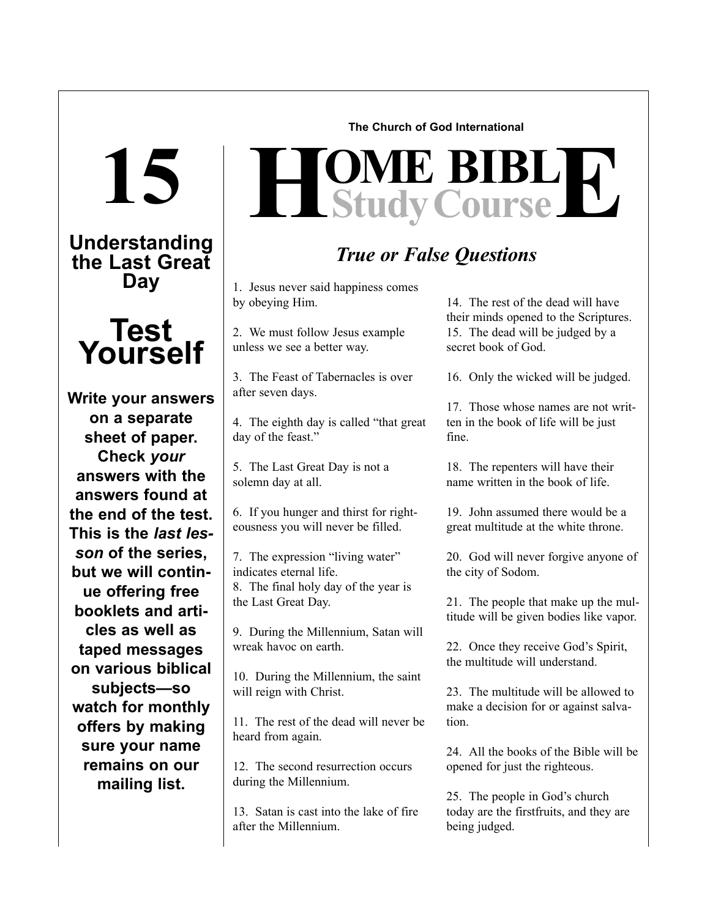**15**

**Understanding the Last Great Day**



**Write your answers on a separate sheet of paper. Check** *your* **answers with the answers found at the end of the test. This is the** *last lesson* **of the series, but we will continue offering free booklets and articles as well as taped messages on various biblical subjects—so watch for monthly offers by making sure your name remains on our mailing list.** 

**The Church of God International**

# $H$ **Study Course**

### *True or False Questions*

1. Jesus never said happiness comes by obeying Him.

2. We must follow Jesus example unless we see a better way.

3. The Feast of Tabernacles is over after seven days.

4. The eighth day is called "that great day of the feast."

5. The Last Great Day is not a solemn day at all.

6. If you hunger and thirst for righteousness you will never be filled.

7. The expression "living water" indicates eternal life. 8. The final holy day of the year is the Last Great Day.

9. During the Millennium, Satan will wreak havoc on earth.

10. During the Millennium, the saint will reign with Christ.

11. The rest of the dead will never be heard from again.

12. The second resurrection occurs during the Millennium.

13. Satan is cast into the lake of fire after the Millennium.

14. The rest of the dead will have their minds opened to the Scriptures. 15. The dead will be judged by a secret book of God.

16. Only the wicked will be judged.

17. Those whose names are not written in the book of life will be just fine.

18. The repenters will have their name written in the book of life.

19. John assumed there would be a great multitude at the white throne.

20. God will never forgive anyone of the city of Sodom.

21. The people that make up the multitude will be given bodies like vapor.

22. Once they receive God's Spirit, the multitude will understand.

23. The multitude will be allowed to make a decision for or against salvation.

24. All the books of the Bible will be opened for just the righteous.

25. The people in God's church today are the firstfruits, and they are being judged.